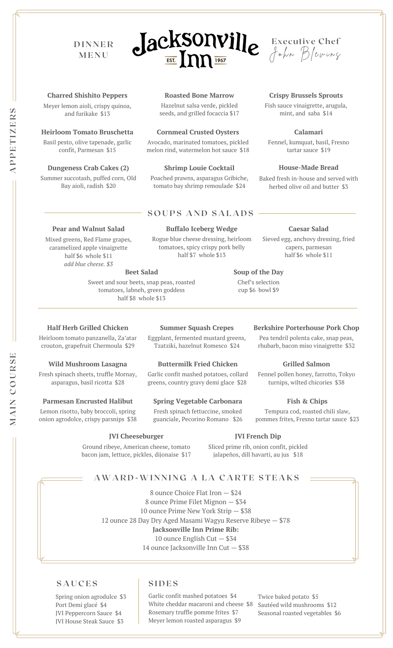# **D I N N E R M E N U**





**Crispy Brussels Sprouts** Fish sauce vinaigrette, arugula, mint, and saba \$14

**House-Made Bread** Baked fresh in-house and served with herbed olive oil and butter \$3

**Calamari** Fennel, kumquat, basil, Fresno tartar sauce \$19

**Caesar Salad** Sieved egg, anchovy dressing, fried

#### **Charred Shishito Peppers**

Meyer lemon aioli, crispy quinoa, and furikake \$13

#### **Heirloom Tomato Bruschetta**

Basil pesto, olive tapenade, garlic confit, Parmesan \$15

#### **Dungeness Crab Cakes (2)**

Summer succotash, puffed corn, Old Bay aioli, radish \$20

**Pear and Walnut Salad** Mixed greens, Red Flame grapes, caramelized apple vinaigrette half \$6 whole \$11 *add blue cheese. \$3*

### **Roasted Bone Marrow**

Hazelnut salsa verde, pickled seeds, and grilled focaccia \$17

#### **Cornmeal Crusted Oysters**

Avocado, marinated tomatoes, pickled melon rind, watermelon hot sauce \$18

#### **Shrimp Louie Cocktail**

Poached prawns, asparagus Gribiche, tomato bay shrimp remoulade \$24

## **S O U P S A N D S A L A D S**

### **Buffalo Iceberg Wedge**

Rogue blue cheese dressing, heirloom tomatoes, spicy crispy pork belly half \$7 whole \$13

#### capers, parmesan half \$6 whole \$11

**Soup of the Day** Chef's selection cup \$6 bowl \$9

**Beet Salad**

Sweet and sour beets, snap peas, roasted tomatoes, labneh, green goddess half \$8 whole \$13

#### **Half Herb Grilled Chicken**

Heirloom tomato panzanella, Za'atar crouton, grapefruit Chermoula \$29

#### **Wild Mushroom Lasagna**

Fresh spinach sheets, truffle Mornay, asparagus, basil ricotta \$28

#### **Parmesan Encrusted Halibut**

onion agrodolce, crispy parsnips \$38

### **Summer Squash Crepes**

Eggplant, fermented mustard greens, Tzatziki, hazelnut Romesco \$24

#### **Buttermilk Fried Chicken**

Garlic confit mashed potatoes, collard greens, country gravy demi glace \$28

### **Spring Vegetable Carbonara**

Fresh spinach fettuccine, smoked guanciale, Pecorino Romano \$26

#### **JVI Cheeseburger**

Ground ribeye, American cheese, tomato bacon jam, lettuce, pickles, dijonaise \$17

### **JVI French Dip**

Sliced prime rib, onion confit, pickled jalapeños, dill havarti, au jus \$18

## **AWA R D -WI N N I N G A L A C A R T E S T E A K S**

 ounce Choice Flat Iron — \$24 ounce Prime Filet Mignon — \$34 ounce Prime New York Strip — \$38 ounce 28 Day Dry Aged Masami Wagyu Reserve Ribeye — \$78 **Jacksonville Inn Prime Rib:** ounce English Cut — \$34 ounce Jacksonville Inn Cut — \$38

## $\vert$  **SIDES**

Spring onion agrodulce \$3 Port Demi glacé \$4 JVI Peppercorn Sauce \$4 JVI House Steak Sauce \$3

Garlic confit mashed potatoes \$4 White cheddar macaroni and cheese \$8 Rosemary truffle pomme frites \$7 Meyer lemon roasted asparagus \$9

Twice baked potato \$5 Sautéed wild mushrooms \$12 Seasonal roasted vegetables \$6

**PEERS**

**M**

**COURSE**

**A I N**

Lemon risotto, baby broccoli, spring

Pea tendril polenta cake, snap peas, rhubarb, bacon miso vinaigrette \$32

Fennel pollen honey, farrotto, Tokyo turnips, wilted chicories \$38

**Berkshire Porterhouse Pork Chop**

pommes frites, Fresno tartar sauce \$23

**Grilled Salmon**

**Fish & Chips**

Tempura cod, roasted chili slaw,

**APT I Z**